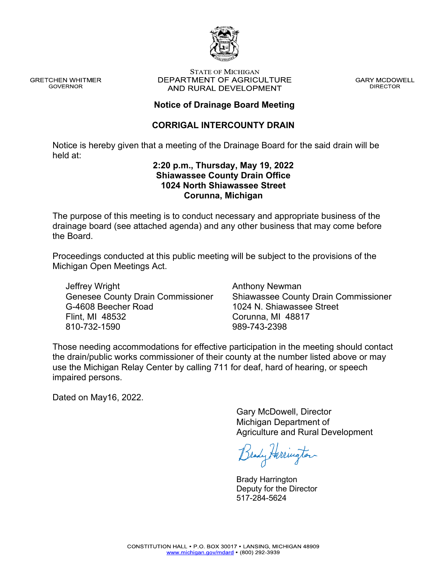

**GRETCHEN WHITMER GOVERNOR** 

#### **STATE OF MICHIGAN** DEPARTMENT OF AGRICULTURE AND RURAL DEVELOPMENT

**GARY MCDOWELL DIRECTOR** 

### **Notice of Drainage Board Meeting**

### **CORRIGAL INTERCOUNTY DRAIN**

Notice is hereby given that a meeting of the Drainage Board for the said drain will be held at:

#### **2:20 p.m., Thursday, May 19, 2022 Shiawassee County Drain Office 1024 North Shiawassee Street Corunna, Michigan**

The purpose of this meeting is to conduct necessary and appropriate business of the drainage board (see attached agenda) and any other business that may come before the Board.

Proceedings conducted at this public meeting will be subject to the provisions of the Michigan Open Meetings Act.

Jeffrey Wright Genesee County Drain Commissioner G-4608 Beecher Road Flint, MI 48532 810-732-1590

Anthony Newman Shiawassee County Drain Commissioner 1024 N. Shiawassee Street Corunna, MI 48817 989-743-2398

Those needing accommodations for effective participation in the meeting should contact the drain/public works commissioner of their county at the number listed above or may use the Michigan Relay Center by calling 711 for deaf, hard of hearing, or speech impaired persons.

Dated on May16, 2022.

Gary McDowell, Director Michigan Department of Agriculture and Rural Development

Brady Herrington

Brady Harrington Deputy for the Director 517-284-5624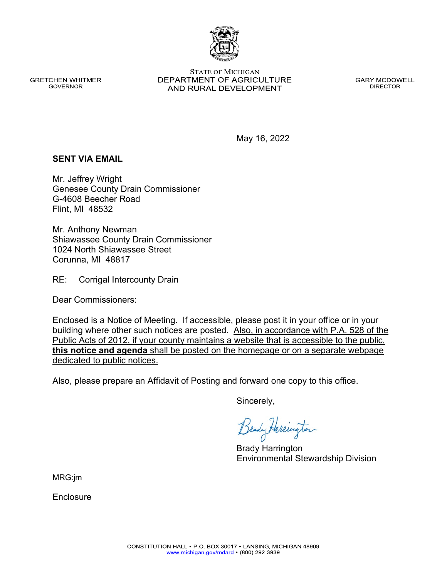**GRETCHEN WHITMER GOVERNOR** 

**STATE OF MICHIGAN** DEPARTMENT OF AGRICULTURE AND RURAL DEVELOPMENT

**GARY MCDOWELL DIRECTOR** 

May 16, 2022

#### **SENT VIA EMAIL**

Mr. Jeffrey Wright Genesee County Drain Commissioner G-4608 Beecher Road Flint, MI 48532

Mr. Anthony Newman Shiawassee County Drain Commissioner 1024 North Shiawassee Street Corunna, MI 48817

RE: Corrigal Intercounty Drain

Dear Commissioners:

Enclosed is a Notice of Meeting. If accessible, please post it in your office or in your building where other such notices are posted. Also, in accordance with P.A. 528 of the Public Acts of 2012, if your county maintains a website that is accessible to the public, **this notice and agenda** shall be posted on the homepage or on a separate webpage dedicated to public notices.

Also, please prepare an Affidavit of Posting and forward one copy to this office.

Sincerely,

Brady Harrington Environmental Stewardship Division

MRG:jm

Enclosure